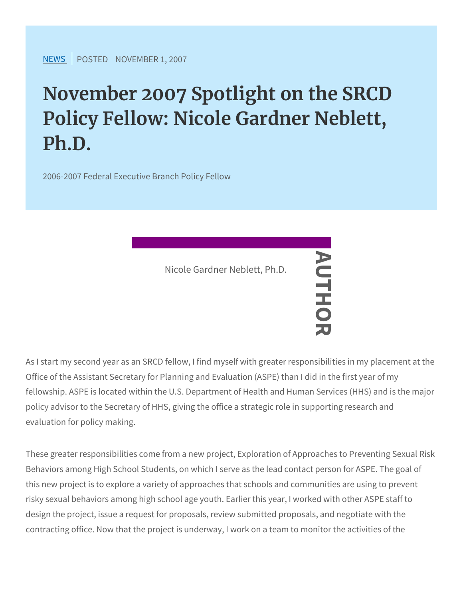[NEW](https://www.srcd.org/news)SPOSTENDOVEMBER 1, 2007

## November 2007 Spotlight on the Policy Fellow: Nicole Gardner Ne Ph.D.

2006-2007 Federal Executive Branch Policy Fellow

Nicole Gardner Neblett, Ph.D.<br>
—<br>
—<br>
—

As I start my second year as an SRCD fellow, I find myself with greater at the my place responsibilities in my place in the my second year as an SRCD fellow, Office of the Assistant Secretary for Planning and Evaluation (ASP) fellowship. ASPE is located within the U.S. Department of Health a policy advisor to the Secretary of HHS, giving the office a strategio evaluation for policy making.

These greater responsibilities come from a new project, Exploration Behaviors among High School Students, on which I serve as the lea this new project is to explore a variety of approaches that schools risky sexual behaviors among high school age youth. Earlier this ye design the project, issue a request for proposals, review submitted contracting office. Now that the project is underway, I work on a te